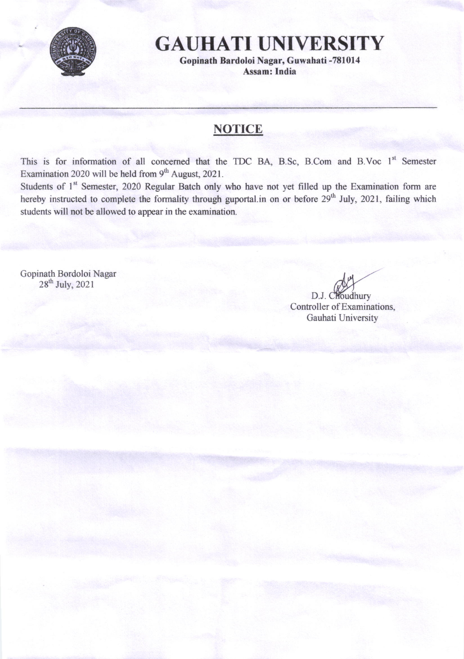

## GAUHATI UNIVERSITY

Gopinath Bardoloi Nagar, Guwahati -781014 Assam: India

## **NOTICE**

This is for information of all concerned that the TDC BA, B.Sc, B.Com and B.Voc 1<sup>st</sup> Semester Examination 2020 will be held from  $9<sup>th</sup>$  August, 2021.

Students of 1<sup>st</sup> Semester, 2020 Regular Batch only who have not yet filled up the Examination form are hereby instructed to complete the formality through guportal.in on or before 29<sup>th</sup> July, 2021, failing which students will not be allowed to appear in the examination.

Gopinath Bordoloi Nagar  $28^{\text{th}}$  July,  $2021$ 

Controller of Examinations, Gauhati University D.J. Choudhury